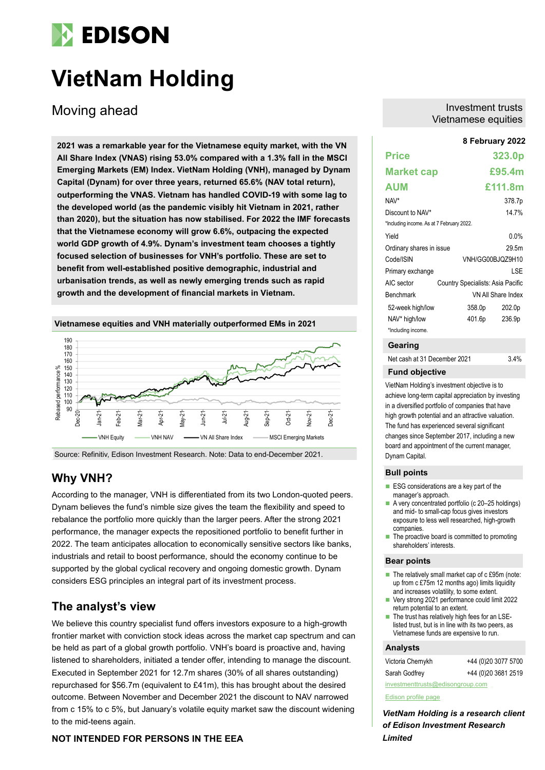

# **VietNam Holding**

Moving ahead

**8 February 2022 2021 was a remarkable year for the Vietnamese equity market, with the VN All Share Index (VNAS) rising 53.0% compared with a 1.3% fall in the MSCI Emerging Markets (EM) Index. VietNam Holding (VNH), managed by Dynam Capital (Dynam) for over three years, returned 65.6% (NAV total return), outperforming the VNAS. Vietnam has handled COVID-19 with some lag to the developed world (as the pandemic visibly hit Vietnam in 2021, rather than 2020), but the situation has now stabilised. For 2022 the IMF forecasts that the Vietnamese economy will grow 6.6%, outpacing the expected world GDP growth of 4.9%. Dynam's investment team chooses a tightly focused selection of businesses for VNH's portfolio. These are set to benefit from well-established positive demographic, industrial and urbanisation trends, as well as newly emerging trends such as rapid growth and the development of financial markets in Vietnam.**





Source: Refinitiv, Edison Investment Research. Note: Data to end-December 2021.

# **Why VNH?**

According to the manager, VNH is differentiated from its two London-quoted peers. Dynam believes the fund's nimble size gives the team the flexibility and speed to rebalance the portfolio more quickly than the larger peers. After the strong 2021 performance, the manager expects the repositioned portfolio to benefit further in 2022. The team anticipates allocation to economically sensitive sectors like banks, industrials and retail to boost performance, should the economy continue to be supported by the global cyclical recovery and ongoing domestic growth. Dynam considers ESG principles an integral part of its investment process.

# **The analyst's view**

We believe this country specialist fund offers investors exposure to a high-growth frontier market with conviction stock ideas across the market cap spectrum and can be held as part of a global growth portfolio. VNH's board is proactive and, having listened to shareholders, initiated a tender offer, intending to manage the discount. Executed in September 2021 for 12.7m shares (30% of all shares outstanding) repurchased for \$56.7m (equivalent to £41m), this has brought about the desired outcome. Between November and December 2021 the discount to NAV narrowed from c 15% to c 5%, but January's volatile equity market saw the discount widening to the mid-teens again.

### **NOT INTENDED FOR PERSONS IN THE EEA**

### Investment trusts Vietnamese equities

### **Price 323.0p Market cap £95.4m AUM £111.8m** NAV\* 378.7p Discount to NAV\* 14.7% \*Including income. As at 7 February 2022. Yield 0.0% Ordinary shares in issue 29.5m Code/ISIN VNH/GG00BJQZ9H10 Primary exchange LSE AIC sector Country Specialists: Asia Pacific Benchmark VN All Share Index 52-week high/low 358.0p 202.0p NAV\* high/low 401.6p 236.9p \*Including income.

### **Gearing**

Net cash at 31 December 2021 3.4%

### **Fund objective**

VietNam Holding's investment objective is to achieve long-term capital appreciation by investing in a diversified portfolio of companies that have high growth potential and an attractive valuation. The fund has experienced several significant changes since September 2017, including a new board and appointment of the current manager, Dynam Capital.

### **Bull points**

- ESG considerations are a key part of the manager's approach.
- A very concentrated portfolio (c 20–25 holdings) and mid- to small-cap focus gives investors exposure to less well researched, high-growth companies.
- The proactive board is committed to promoting shareholders' interests.

#### **Bear points**

- The relatively small market cap of c £95m (note: up from c £75m 12 months ago) limits liquidity and increases volatility, to some extent.
- Very strong 2021 performance could limit 2022 return potential to an extent.
- The trust has relatively high fees for an LSElisted trust, but is in line with its two peers, as Vietnamese funds are expensive to run.

### **Analysts**

| Victoria Chernykh                | +44 (0)20 3077 5700 |  |  |  |  |  |  |
|----------------------------------|---------------------|--|--|--|--|--|--|
| Sarah Godfrey                    | +44 (0)20 3681 2519 |  |  |  |  |  |  |
| investmenttrusts@edisongroup.com |                     |  |  |  |  |  |  |

[Edison profile page](https://www.edisongroup.com/company/vietnam-holding/2907/)

*VietNam Holding is a research client of Edison Investment Research Limited*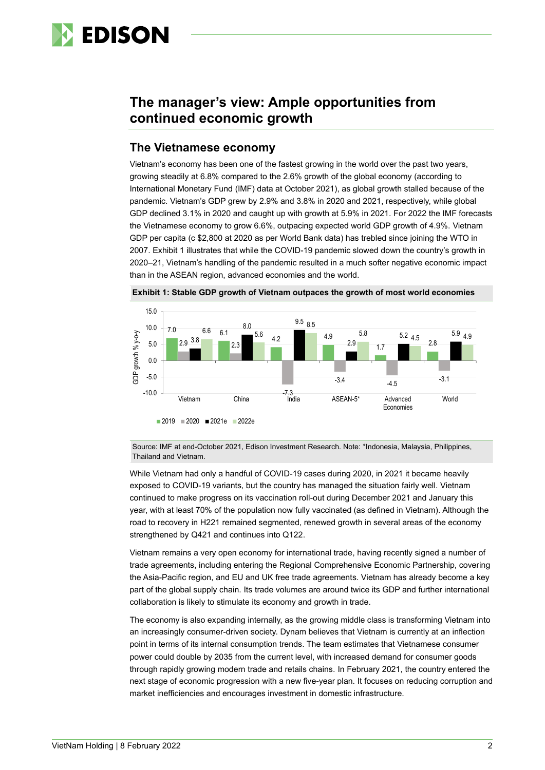

# **The manager's view: Ample opportunities from continued economic growth**

## **The Vietnamese economy**

Vietnam's economy has been one of the fastest growing in the world over the past two years, growing steadily at 6.8% compared to the 2.6% growth of the global economy (according to International Monetary Fund (IMF) data at October 2021), as global growth stalled because of the pandemic. Vietnam's GDP grew by 2.9% and 3.8% in 2020 and 2021, respectively, while global GDP declined 3.1% in 2020 and caught up with growth at 5.9% in 2021. For 2022 the IMF forecasts the Vietnamese economy to grow 6.6%, outpacing expected world GDP growth of 4.9%. Vietnam GDP per capita (c \$2,800 at 2020 as per World Bank data) has trebled since joining the WTO in 2007. Exhibit 1 illustrates that while the COVID-19 pandemic slowed down the country's growth in 2020–21, Vietnam's handling of the pandemic resulted in a much softer negative economic impact than in the ASEAN region, advanced economies and the world.





Source: IMF at end-October 2021, Edison Investment Research. Note: \*Indonesia, Malaysia, Philippines, Thailand and Vietnam.

While Vietnam had only a handful of COVID-19 cases during 2020, in 2021 it became heavily exposed to COVID-19 variants, but the country has managed the situation fairly well. Vietnam continued to make progress on its vaccination roll-out during December 2021 and January this year, with at least 70% of the population now fully vaccinated (as defined in Vietnam). Although the road to recovery in H221 remained segmented, renewed growth in several areas of the economy strengthened by Q421 and continues into Q122.

Vietnam remains a very open economy for international trade, having recently signed a number of trade agreements, including entering the Regional Comprehensive Economic Partnership, covering the Asia-Pacific region, and EU and UK free trade agreements. Vietnam has already become a key part of the global supply chain. Its trade volumes are around twice its GDP and further international collaboration is likely to stimulate its economy and growth in trade.

The economy is also expanding internally, as the growing middle class is transforming Vietnam into an increasingly consumer-driven society. Dynam believes that Vietnam is currently at an inflection point in terms of its internal consumption trends. The team estimates that Vietnamese consumer power could double by 2035 from the current level, with increased demand for consumer goods through rapidly growing modern trade and retails chains. In February 2021, the country entered the next stage of economic progression with a new five-year plan. It focuses on reducing corruption and market inefficiencies and encourages investment in domestic infrastructure.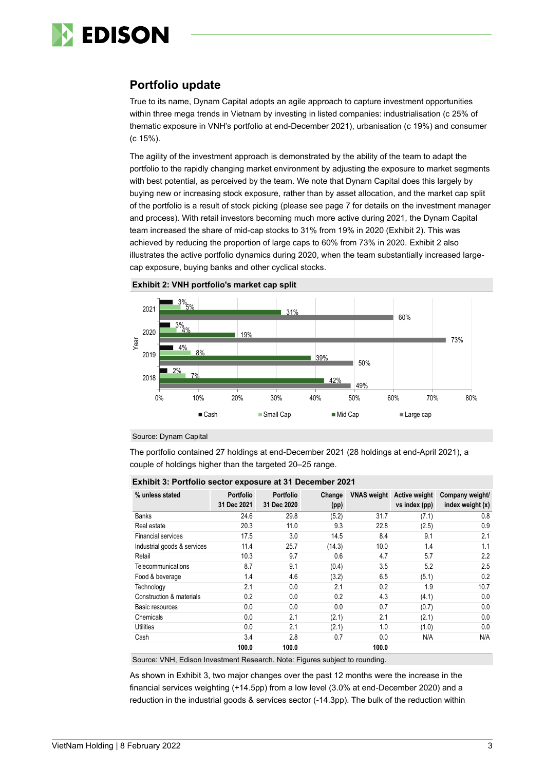

# **Portfolio update**

True to its name, Dynam Capital adopts an agile approach to capture investment opportunities within three mega trends in Vietnam by investing in listed companies: industrialisation (c 25% of thematic exposure in VNH's portfolio at end-December 2021), urbanisation (c 19%) and consumer (c 15%).

The agility of the investment approach is demonstrated by the ability of the team to adapt the portfolio to the rapidly changing market environment by adjusting the exposure to market segments with best potential, as perceived by the team. We note that Dynam Capital does this largely by buying new or increasing stock exposure, rather than by asset allocation, and the market cap split of the portfolio is a result of stock picking (please see page 7 for details on the investment manager and process). With retail investors becoming much more active during 2021, the Dynam Capital team increased the share of mid-cap stocks to 31% from 19% in 2020 (Exhibit 2). This was achieved by reducing the proportion of large caps to 60% from 73% in 2020. Exhibit 2 also illustrates the active portfolio dynamics during 2020, when the team substantially increased largecap exposure, buying banks and other cyclical stocks.





Source: Dynam Capital

The portfolio contained 27 holdings at end-December 2021 (28 holdings at end-April 2021), a couple of holdings higher than the targeted 20–25 range.

| % unless stated             | <b>Portfolio</b><br>31 Dec 2021 | <b>Portfolio</b><br>31 Dec 2020 | Change<br>(pp) | <b>VNAS</b> weight | <b>Active weight</b><br>vs index (pp) | Company weight/<br>index weight (x) |  |
|-----------------------------|---------------------------------|---------------------------------|----------------|--------------------|---------------------------------------|-------------------------------------|--|
| Banks                       | 24.6                            | 29.8                            | (5.2)          | 31.7               | (7.1)                                 | 0.8                                 |  |
| Real estate                 | 20.3                            | 11.0                            | 9.3            | 22.8               | (2.5)                                 | 0.9                                 |  |
| Financial services          | 17.5                            | 3.0                             | 14.5           | 8.4                | 9.1                                   | 2.1                                 |  |
| Industrial goods & services | 11.4                            | 25.7                            | (14.3)         | 10.0               | 1.4                                   | 1.1                                 |  |
| Retail                      | 10.3                            | 9.7                             | 0.6            | 4.7                | 5.7                                   | 2.2                                 |  |
| Telecommunications          | 8.7                             | 9.1                             | (0.4)          | 3.5                | 5.2                                   | 2.5                                 |  |
| Food & beverage             | 1.4                             | 4.6                             | (3.2)          | 6.5                | (5.1)                                 | 0.2                                 |  |
| Technology                  | 2.1                             | 0.0                             | 2.1            | 0.2                | 1.9                                   | 10.7                                |  |
| Construction & materials    | 0.2                             | 0.0                             | 0.2            | 4.3                | (4.1)                                 | 0.0                                 |  |
| Basic resources             | 0.0                             | 0.0                             | 0.0            | 0.7                | (0.7)                                 | 0.0                                 |  |
| Chemicals                   | 0.0                             | 2.1                             | (2.1)          | 2.1                | (2.1)                                 | 0.0                                 |  |
| <b>Utilities</b>            | 0.0                             | 2.1                             | (2.1)          | 1.0                | (1.0)                                 | 0.0                                 |  |
| Cash                        | 3.4                             | 2.8                             | 0.7            | 0.0                | N/A                                   | N/A                                 |  |
|                             | 100.0                           | 100.0                           |                | 100.0              |                                       |                                     |  |

#### **Exhibit 3: Portfolio sector exposure at 31 December 2021**

Source: VNH, Edison Investment Research. Note: Figures subject to rounding.

As shown in Exhibit 3, two major changes over the past 12 months were the increase in the financial services weighting (+14.5pp) from a low level (3.0% at end-December 2020) and a reduction in the industrial goods & services sector (-14.3pp). The bulk of the reduction within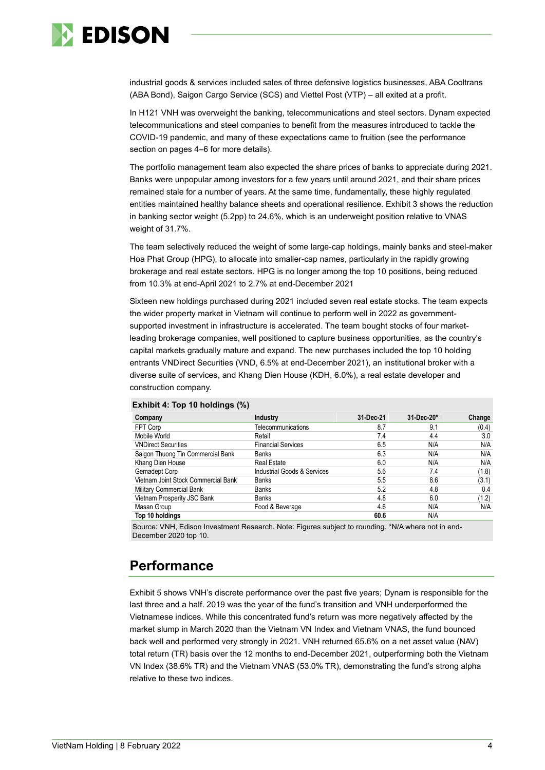

industrial goods & services included sales of three defensive logistics businesses, ABA Cooltrans (ABA Bond), Saigon Cargo Service (SCS) and Viettel Post (VTP) – all exited at a profit.

In H121 VNH was overweight the banking, telecommunications and steel sectors. Dynam expected telecommunications and steel companies to benefit from the measures introduced to tackle the COVID-19 pandemic, and many of these expectations came to fruition (see the performance section on pages 4–6 for more details).

The portfolio management team also expected the share prices of banks to appreciate during 2021. Banks were unpopular among investors for a few years until around 2021, and their share prices remained stale for a number of years. At the same time, fundamentally, these highly regulated entities maintained healthy balance sheets and operational resilience. Exhibit 3 shows the reduction in banking sector weight (5.2pp) to 24.6%, which is an underweight position relative to VNAS weight of 31.7%.

The team selectively reduced the weight of some large-cap holdings, mainly banks and steel-maker Hoa Phat Group (HPG), to allocate into smaller-cap names, particularly in the rapidly growing brokerage and real estate sectors. HPG is no longer among the top 10 positions, being reduced from 10.3% at end-April 2021 to 2.7% at end-December 2021

Sixteen new holdings purchased during 2021 included seven real estate stocks. The team expects the wider property market in Vietnam will continue to perform well in 2022 as governmentsupported investment in infrastructure is accelerated. The team bought stocks of four marketleading brokerage companies, well positioned to capture business opportunities, as the country's capital markets gradually mature and expand. The new purchases included the top 10 holding entrants VNDirect Securities (VND, 6.5% at end-December 2021), an institutional broker with a diverse suite of services, and Khang Dien House (KDH, 6.0%), a real estate developer and construction company.

| Company                             | Industry                    | 31-Dec-21 | 31-Dec-20* | Change |
|-------------------------------------|-----------------------------|-----------|------------|--------|
| FPT Corp                            | Telecommunications          | 8.7       | 9.1        | (0.4)  |
| Mobile World                        | Retail                      | 7.4       | 4.4        | 3.0    |
| <b>VNDirect Securities</b>          | <b>Financial Services</b>   | 6.5       | N/A        | N/A    |
| Saigon Thuong Tin Commercial Bank   | <b>Banks</b>                | 6.3       | N/A        | N/A    |
| Khang Dien House                    | <b>Real Estate</b>          | 6.0       | N/A        | N/A    |
| Gemadept Corp                       | Industrial Goods & Services | 5.6       | 7.4        | (1.8)  |
| Vietnam Joint Stock Commercial Bank | <b>Banks</b>                | 5.5       | 8.6        | (3.1)  |
| Military Commercial Bank            | <b>Banks</b>                | 5.2       | 4.8        | 0.4    |
| Vietnam Prosperity JSC Bank         | <b>Banks</b>                | 4.8       | 6.0        | (1.2)  |
| Masan Group                         | Food & Beverage             | 4.6       | N/A        | N/A    |
| Top 10 holdings                     |                             | 60.6      | N/A        |        |

#### **Exhibit 4: Top 10 holdings (%)**

Source: VNH, Edison Investment Research. Note: Figures subject to rounding. \*N/A where not in end-December 2020 top 10.

# **Performance**

Exhibit 5 shows VNH's discrete performance over the past five years; Dynam is responsible for the last three and a half. 2019 was the year of the fund's transition and VNH underperformed the Vietnamese indices. While this concentrated fund's return was more negatively affected by the market slump in March 2020 than the Vietnam VN Index and Vietnam VNAS, the fund bounced back well and performed very strongly in 2021. VNH returned 65.6% on a net asset value (NAV) total return (TR) basis over the 12 months to end-December 2021, outperforming both the Vietnam VN Index (38.6% TR) and the Vietnam VNAS (53.0% TR), demonstrating the fund's strong alpha relative to these two indices.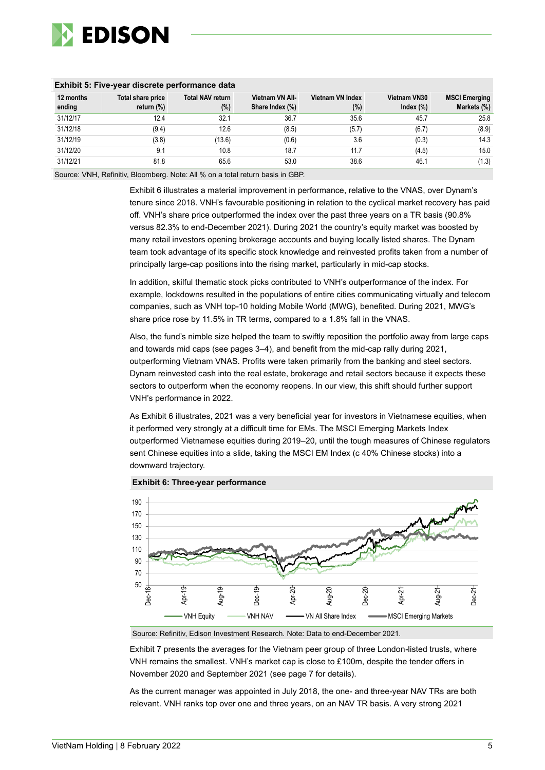

| <b>EXIMPLE 5: FIVE-year discrete performance data</b> |                                 |                                   |                                    |                            |                                     |                                     |  |  |  |
|-------------------------------------------------------|---------------------------------|-----------------------------------|------------------------------------|----------------------------|-------------------------------------|-------------------------------------|--|--|--|
| 12 months<br>ending                                   | Total share price<br>return (%) | <b>Total NAV return</b><br>$(\%)$ | Vietnam VN All-<br>Share Index (%) | Vietnam VN Index<br>$(\%)$ | <b>Vietnam VN30</b><br>Index $(\%)$ | <b>MSCI Emerging</b><br>Markets (%) |  |  |  |
| 31/12/17                                              | 12.4                            | 32.1                              | 36.7                               | 35.6                       | 45.7                                | 25.8                                |  |  |  |
| 31/12/18                                              | (9.4)                           | 12.6                              | (8.5)                              | (5.7)                      | (6.7)                               | (8.9)                               |  |  |  |
| 31/12/19                                              | (3.8)                           | (13.6)                            | (0.6)                              | 3.6                        | (0.3)                               | 14.3                                |  |  |  |
| 31/12/20                                              | 9.1                             | 10.8                              | 18.7                               | 11.7                       | (4.5)                               | 15.0                                |  |  |  |
| 31/12/21                                              | 81.8                            | 65.6                              | 53.0                               | 38.6                       | 46.1                                | (1.3)                               |  |  |  |

### **Exhibit 5: Five-year discrete performance data**

Source: VNH, Refinitiv, Bloomberg. Note: All % on a total return basis in GBP.

Exhibit 6 illustrates a material improvement in performance, relative to the VNAS, over Dynam's tenure since 2018. VNH's favourable positioning in relation to the cyclical market recovery has paid off. VNH's share price outperformed the index over the past three years on a TR basis (90.8% versus 82.3% to end-December 2021). During 2021 the country's equity market was boosted by many retail investors opening brokerage accounts and buying locally listed shares. The Dynam team took advantage of its specific stock knowledge and reinvested profits taken from a number of principally large-cap positions into the rising market, particularly in mid-cap stocks.

In addition, skilful thematic stock picks contributed to VNH's outperformance of the index. For example, lockdowns resulted in the populations of entire cities communicating virtually and telecom companies, such as VNH top-10 holding Mobile World (MWG), benefited. During 2021, MWG's share price rose by 11.5% in TR terms, compared to a 1.8% fall in the VNAS.

Also, the fund's nimble size helped the team to swiftly reposition the portfolio away from large caps and towards mid caps (see pages 3–4), and benefit from the mid-cap rally during 2021, outperforming Vietnam VNAS. Profits were taken primarily from the banking and steel sectors. Dynam reinvested cash into the real estate, brokerage and retail sectors because it expects these sectors to outperform when the economy reopens. In our view, this shift should further support VNH's performance in 2022.

As Exhibit 6 illustrates, 2021 was a very beneficial year for investors in Vietnamese equities, when it performed very strongly at a difficult time for EMs. The MSCI Emerging Markets Index outperformed Vietnamese equities during 2019–20, until the tough measures of Chinese regulators sent Chinese equities into a slide, taking the MSCI EM Index (c 40% Chinese stocks) into a downward trajectory.



#### **Exhibit 6: Three-year performance**

Source: Refinitiv, Edison Investment Research. Note: Data to end-December 2021.

Exhibit 7 presents the averages for the Vietnam peer group of three London-listed trusts, where VNH remains the smallest. VNH's market cap is close to £100m, despite the tender offers in November 2020 and September 2021 (see page 7 for details).

As the current manager was appointed in July 2018, the one- and three-year NAV TRs are both relevant. VNH ranks top over one and three years, on an NAV TR basis. A very strong 2021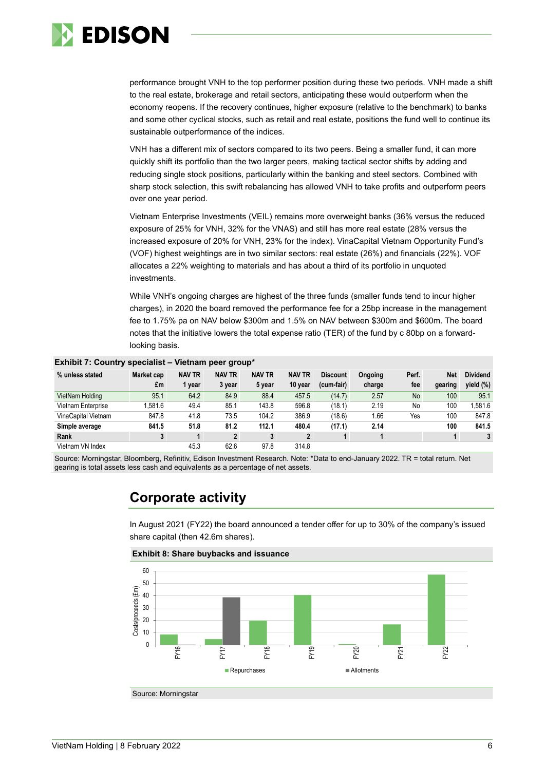

performance brought VNH to the top performer position during these two periods. VNH made a shift to the real estate, brokerage and retail sectors, anticipating these would outperform when the economy reopens. If the recovery continues, higher exposure (relative to the benchmark) to banks and some other cyclical stocks, such as retail and real estate, positions the fund well to continue its sustainable outperformance of the indices.

VNH has a different mix of sectors compared to its two peers. Being a smaller fund, it can more quickly shift its portfolio than the two larger peers, making tactical sector shifts by adding and reducing single stock positions, particularly within the banking and steel sectors. Combined with sharp stock selection, this swift rebalancing has allowed VNH to take profits and outperform peers over one year period.

Vietnam Enterprise Investments (VEIL) remains more overweight banks (36% versus the reduced exposure of 25% for VNH, 32% for the VNAS) and still has more real estate (28% versus the increased exposure of 20% for VNH, 23% for the index). VinaCapital Vietnam Opportunity Fund's (VOF) highest weightings are in two similar sectors: real estate (26%) and financials (22%). VOF allocates a 22% weighting to materials and has about a third of its portfolio in unquoted investments.

While VNH's ongoing charges are highest of the three funds (smaller funds tend to incur higher charges), in 2020 the board removed the performance fee for a 25bp increase in the management fee to 1.75% pa on NAV below \$300m and 1.5% on NAV between \$300m and \$600m. The board notes that the initiative lowers the total expense ratio (TER) of the fund by c 80bp on a forwardlooking basis.

| Exhibit 7: Country specialist – Vietnam peer group* |            |               |               |               |               |                 |         |           |            |                 |
|-----------------------------------------------------|------------|---------------|---------------|---------------|---------------|-----------------|---------|-----------|------------|-----------------|
| % unless stated                                     | Market cap | <b>NAV TR</b> | <b>NAV TR</b> | <b>NAV TR</b> | <b>NAV TR</b> | <b>Discount</b> | Ongoing | Perf.     | <b>Net</b> | <b>Dividend</b> |
|                                                     | £m         | 1 year        | 3 year        | 5 year        | 10 year       | (cum-fair)      | charge  | fee       | gearing    | yield (%)       |
| VietNam Holding                                     | 95.1       | 64.2          | 84.9          | 88.4          | 457.5         | (14.7)          | 2.57    | <b>No</b> | 100        | 95.1            |
| Vietnam Enterprise                                  | .581.6     | 49.4          | 85.1          | 143.8         | 596.8         | (18.1)          | 2.19    | No        | 100        | 1.581.6         |
| <b>VinaCapital Vietnam</b>                          | 847.8      | 41.8          | 73.5          | 104.2         | 386.9         | (18.6)          | 1.66    | Yes       | 100        | 847.8           |
| Simple average                                      | 841.5      | 51.8          | 81.2          | 112.1         | 480.4         | (17.1)          | 2.14    |           | 100        | 841.5           |
| Rank                                                | 3          |               | $\mathbf{2}$  | 3             | $\mathbf{2}$  |                 |         |           | 1          | 3               |
| Vietnam VN Index                                    |            | 45.3          | 62.6          | 97.8          | 314.8         |                 |         |           |            |                 |

#### **Exhibit 7: Country specialist – Vietnam peer group\***

Source: Morningstar, Bloomberg, Refinitiv, Edison Investment Research. Note: \*Data to end-January 2022. TR = total return. Net gearing is total assets less cash and equivalents as a percentage of net assets.

# **Corporate activity**

In August 2021 (FY22) the board announced a tender offer for up to 30% of the company's issued share capital (then 42.6m shares).

**Exhibit 8: Share buybacks and issuance**

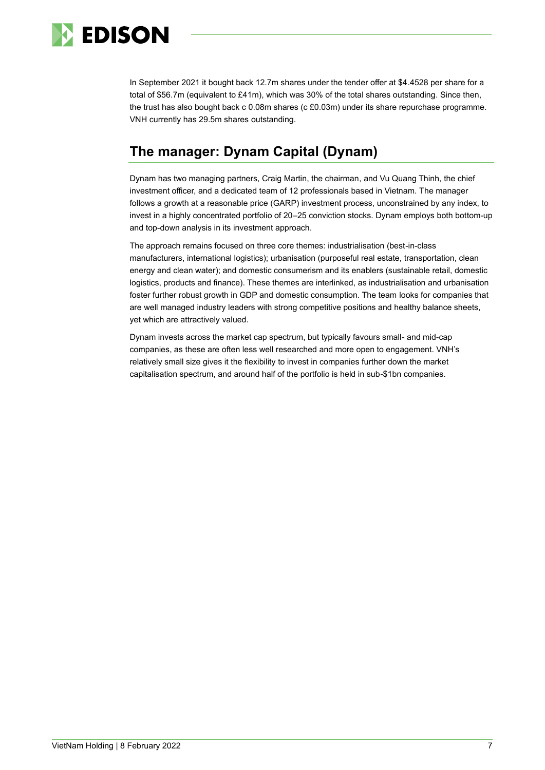

In September 2021 it bought back 12.7m shares under the tender offer at \$4.4528 per share for a total of \$56.7m (equivalent to £41m), which was 30% of the total shares outstanding. Since then, the trust has also bought back c 0.08m shares (c £0.03m) under its share repurchase programme. VNH currently has 29.5m shares outstanding.

# **The manager: Dynam Capital (Dynam)**

Dynam has two managing partners, Craig Martin, the chairman, and Vu Quang Thinh, the chief investment officer, and a dedicated team of 12 professionals based in Vietnam. The manager follows a growth at a reasonable price (GARP) investment process, unconstrained by any index, to invest in a highly concentrated portfolio of 20–25 conviction stocks. Dynam employs both bottom-up and top-down analysis in its investment approach.

The approach remains focused on three core themes: industrialisation (best-in-class manufacturers, international logistics); urbanisation (purposeful real estate, transportation, clean energy and clean water); and domestic consumerism and its enablers (sustainable retail, domestic logistics, products and finance). These themes are interlinked, as industrialisation and urbanisation foster further robust growth in GDP and domestic consumption. The team looks for companies that are well managed industry leaders with strong competitive positions and healthy balance sheets, yet which are attractively valued.

Dynam invests across the market cap spectrum, but typically favours small- and mid-cap companies, as these are often less well researched and more open to engagement. VNH's relatively small size gives it the flexibility to invest in companies further down the market capitalisation spectrum, and around half of the portfolio is held in sub-\$1bn companies.